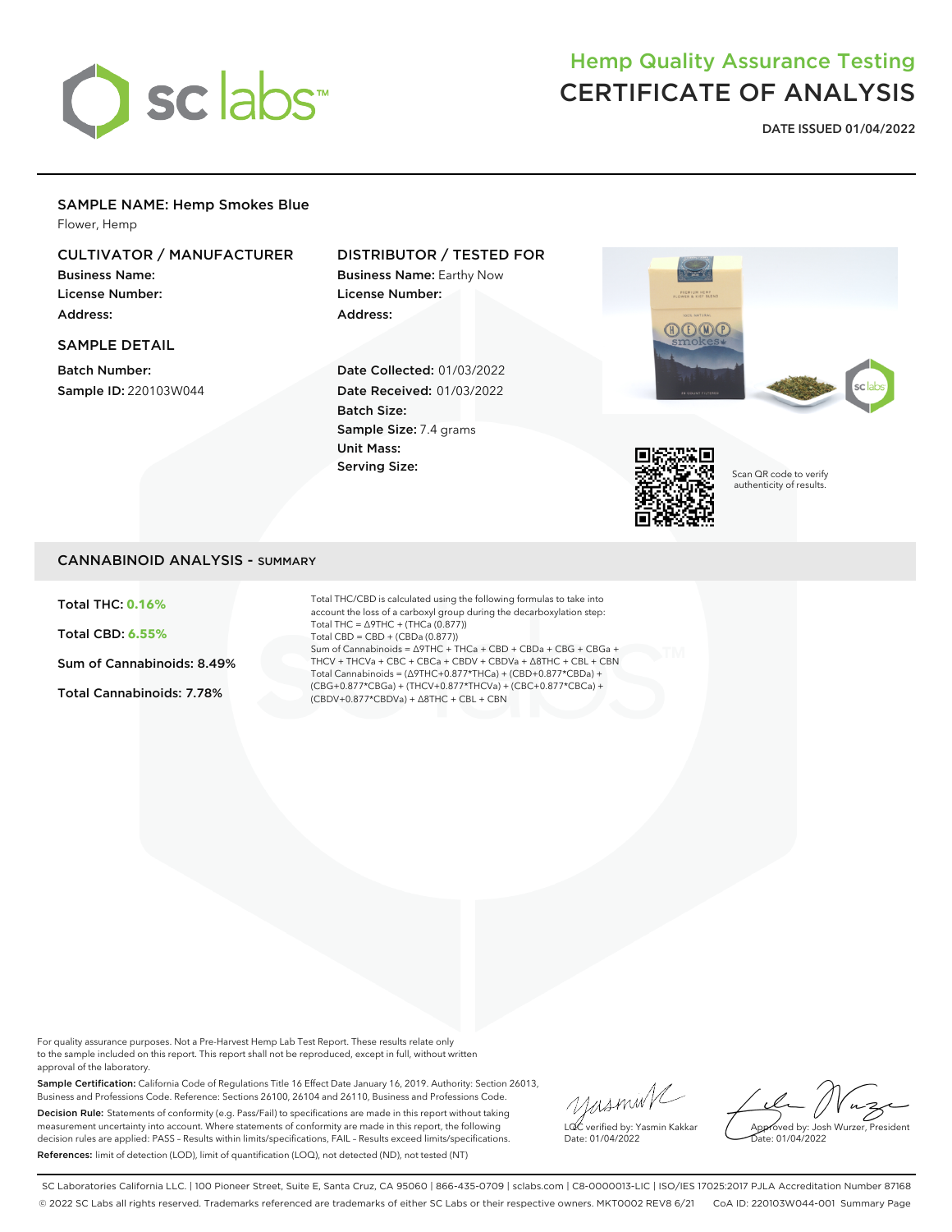

# Hemp Quality Assurance Testing CERTIFICATE OF ANALYSIS

**DATE ISSUED 01/04/2022**

### SAMPLE NAME: Hemp Smokes Blue

Flower, Hemp

# CULTIVATOR / MANUFACTURER

Business Name: License Number: Address:

### SAMPLE DETAIL

Batch Number: Sample ID: 220103W044

# DISTRIBUTOR / TESTED FOR

Business Name: Earthy Now License Number: Address:

Date Collected: 01/03/2022 Date Received: 01/03/2022 Batch Size: Sample Size: 7.4 grams Unit Mass: Serving Size:





Scan QR code to verify authenticity of results.

## CANNABINOID ANALYSIS - SUMMARY

Total THC: **0.16%**

Total CBD: **6.55%**

Sum of Cannabinoids: 8.49%

Total Cannabinoids: 7.78%

Total THC/CBD is calculated using the following formulas to take into account the loss of a carboxyl group during the decarboxylation step: Total THC = ∆9THC + (THCa (0.877)) Total CBD = CBD + (CBDa (0.877)) Sum of Cannabinoids = ∆9THC + THCa + CBD + CBDa + CBG + CBGa + THCV + THCVa + CBC + CBCa + CBDV + CBDVa + ∆8THC + CBL + CBN Total Cannabinoids = (∆9THC+0.877\*THCa) + (CBD+0.877\*CBDa) + (CBG+0.877\*CBGa) + (THCV+0.877\*THCVa) + (CBC+0.877\*CBCa) + (CBDV+0.877\*CBDVa) + ∆8THC + CBL + CBN

For quality assurance purposes. Not a Pre-Harvest Hemp Lab Test Report. These results relate only to the sample included on this report. This report shall not be reproduced, except in full, without written approval of the laboratory.

Sample Certification: California Code of Regulations Title 16 Effect Date January 16, 2019. Authority: Section 26013, Business and Professions Code. Reference: Sections 26100, 26104 and 26110, Business and Professions Code. Decision Rule: Statements of conformity (e.g. Pass/Fail) to specifications are made in this report without taking measurement uncertainty into account. Where statements of conformity are made in this report, the following decision rules are applied: PASS – Results within limits/specifications, FAIL – Results exceed limits/specifications. References: limit of detection (LOD), limit of quantification (LOQ), not detected (ND), not tested (NT)

yusmink LQC verified by: Yasmin Kakkar Date: 01/04/2022

Approved by: Josh Wurzer, President Date: 01/04/2022

SC Laboratories California LLC. | 100 Pioneer Street, Suite E, Santa Cruz, CA 95060 | 866-435-0709 | sclabs.com | C8-0000013-LIC | ISO/IES 17025:2017 PJLA Accreditation Number 87168 © 2022 SC Labs all rights reserved. Trademarks referenced are trademarks of either SC Labs or their respective owners. MKT0002 REV8 6/21 CoA ID: 220103W044-001 Summary Page